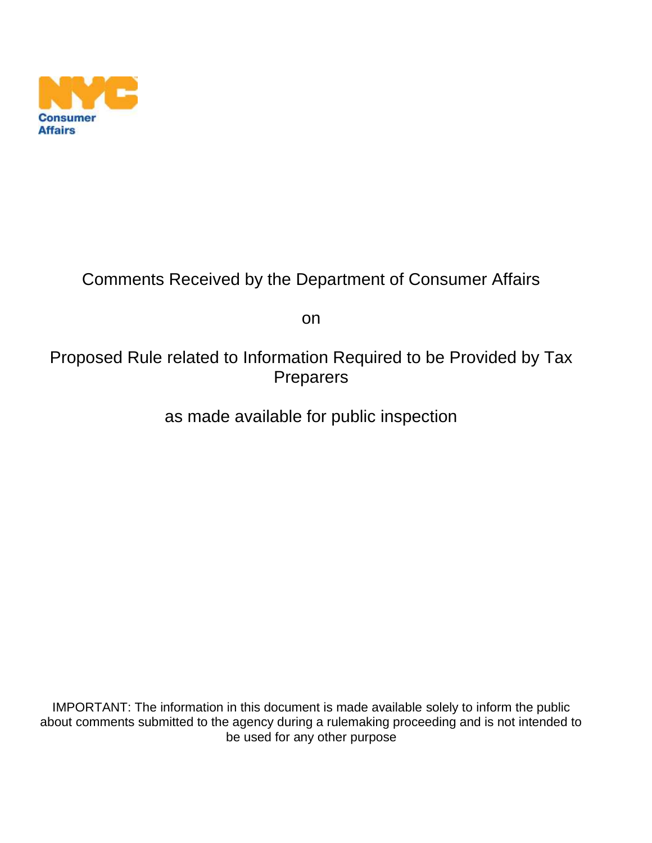

## Comments Received by the Department of Consumer Affairs

on

## Proposed Rule related to Information Required to be Provided by Tax Preparers

as made available for public inspection

IMPORTANT: The information in this document is made available solely to inform the public about comments submitted to the agency during a rulemaking proceeding and is not intended to be used for any other purpose